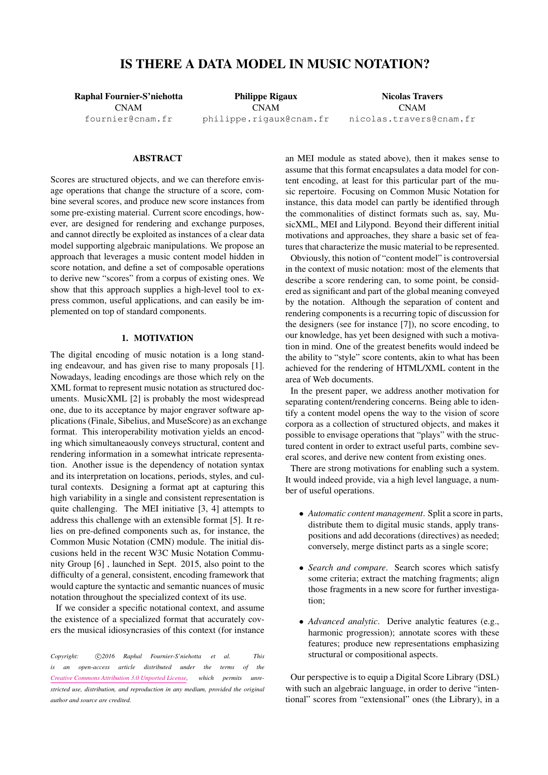# IS THERE A DATA MODEL IN MUSIC NOTATION?

Raphal Fournier-S'niehotta CNAM [fournier@cnam.fr](mailto:fournier@cnam.fr)

Philippe Rigaux CNAM [philippe.rigaux@cnam.fr](mailto:philippe.rigaux@cnam.fr)

Nicolas Travers CNAM [nicolas.travers@cnam.fr](mailto:nicolas.travers@cnam.fr)

## **ABSTRACT**

Scores are structured objects, and we can therefore envisage operations that change the structure of a score, combine several scores, and produce new score instances from some pre-existing material. Current score encodings, however, are designed for rendering and exchange purposes, and cannot directly be exploited as instances of a clear data model supporting algebraic manipulations. We propose an approach that leverages a music content model hidden in score notation, and define a set of composable operations to derive new "scores" from a corpus of existing ones. We show that this approach supplies a high-level tool to express common, useful applications, and can easily be implemented on top of standard components.

## 1. MOTIVATION

The digital encoding of music notation is a long standing endeavour, and has given rise to many proposals [\[1\]](#page-5-0). Nowadays, leading encodings are those which rely on the XML format to represent music notation as structured documents. MusicXML [\[2\]](#page-5-1) is probably the most widespread one, due to its acceptance by major engraver software applications (Finale, Sibelius, and MuseScore) as an exchange format. This interoperability motivation yields an encoding which simultaneaously conveys structural, content and rendering information in a somewhat intricate representation. Another issue is the dependency of notation syntax and its interpretation on locations, periods, styles, and cultural contexts. Designing a format apt at capturing this high variability in a single and consistent representation is quite challenging. The MEI initiative [\[3,](#page-5-2) [4\]](#page-5-3) attempts to address this challenge with an extensible format [\[5\]](#page-5-4). It relies on pre-defined components such as, for instance, the Common Music Notation (CMN) module. The initial discusions held in the recent W3C Music Notation Community Group [\[6\]](#page-5-5) , launched in Sept. 2015, also point to the difficulty of a general, consistent, encoding framework that would capture the syntactic and semantic nuances of music notation throughout the specialized context of its use.

If we consider a specific notational context, and assume the existence of a specialized format that accurately covers the musical idiosyncrasies of this context (for instance

Copyright:  $\bigcirc$ 2016 Raphal Fournier-S'niehotta et al. This *is an open-access article distributed under the terms of the [Creative Commons Attribution 3.0 Unported License,](http://creativecommons.org/licenses/by/3.0/) which permits unrestricted use, distribution, and reproduction in any medium, provided the original author and source are credited.*

an MEI module as stated above), then it makes sense to assume that this format encapsulates a data model for content encoding, at least for this particular part of the music repertoire. Focusing on Common Music Notation for instance, this data model can partly be identified through the commonalities of distinct formats such as, say, MusicXML, MEI and Lilypond. Beyond their different initial motivations and approaches, they share a basic set of features that characterize the music material to be represented.

Obviously, this notion of "content model" is controversial in the context of music notation: most of the elements that describe a score rendering can, to some point, be considered as significant and part of the global meaning conveyed by the notation. Although the separation of content and rendering components is a recurring topic of discussion for the designers (see for instance [\[7\]](#page-5-6)), no score encoding, to our knowledge, has yet been designed with such a motivation in mind. One of the greatest benefits would indeed be the ability to "style" score contents, akin to what has been achieved for the rendering of HTML/XML content in the area of Web documents.

In the present paper, we address another motivation for separating content/rendering concerns. Being able to identify a content model opens the way to the vision of score corpora as a collection of structured objects, and makes it possible to envisage operations that "plays" with the structured content in order to extract useful parts, combine several scores, and derive new content from existing ones.

There are strong motivations for enabling such a system. It would indeed provide, via a high level language, a number of useful operations.

- *Automatic content management*. Split a score in parts, distribute them to digital music stands, apply transpositions and add decorations (directives) as needed; conversely, merge distinct parts as a single score;
- *Search and compare*. Search scores which satisfy some criteria; extract the matching fragments; align those fragments in a new score for further investigation;
- *Advanced analytic*. Derive analytic features (e.g., harmonic progression); annotate scores with these features; produce new representations emphasizing structural or compositional aspects.

Our perspective is to equip a Digital Score Library (DSL) with such an algebraic language, in order to derive "intentional" scores from "extensional" ones (the Library), in a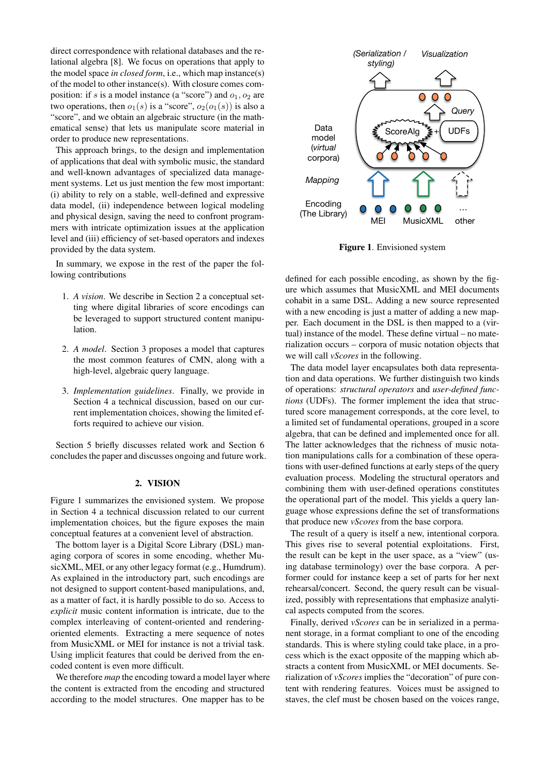direct correspondence with relational databases and the relational algebra [\[8\]](#page-5-7). We focus on operations that apply to the model space *in closed form*, i.e., which map instance(s) of the model to other instance(s). With closure comes composition: if s is a model instance (a "score") and  $o_1$ ,  $o_2$  are two operations, then  $o_1(s)$  is a "score",  $o_2(o_1(s))$  is also a "score", and we obtain an algebraic structure (in the mathematical sense) that lets us manipulate score material in order to produce new representations.

This approach brings, to the design and implementation of applications that deal with symbolic music, the standard and well-known advantages of specialized data management systems. Let us just mention the few most important: (i) ability to rely on a stable, well-defined and expressive data model, (ii) independence between logical modeling and physical design, saving the need to confront programmers with intricate optimization issues at the application level and (iii) efficiency of set-based operators and indexes provided by the data system.

In summary, we expose in the rest of the paper the following contributions

- 1. *A vision*. We describe in Section [2](#page-1-0) a conceptual setting where digital libraries of score encodings can be leveraged to support structured content manipulation.
- 2. *A model*. Section [3](#page-2-0) proposes a model that captures the most common features of CMN, along with a high-level, algebraic query language.
- 3. *Implementation guidelines*. Finally, we provide in Section [4](#page-4-0) a technical discussion, based on our current implementation choices, showing the limited efforts required to achieve our vision.

Section [5](#page-4-1) briefly discusses related work and Section [6](#page-5-8) concludes the paper and discusses ongoing and future work.

#### 2. VISION

<span id="page-1-0"></span>Figure [1](#page-1-1) summarizes the envisioned system. We propose in Section [4](#page-4-0) a technical discussion related to our current implementation choices, but the figure exposes the main conceptual features at a convenient level of abstraction.

The bottom layer is a Digital Score Library (DSL) managing corpora of scores in some encoding, whether MusicXML, MEI, or any other legacy format (e.g., Humdrum). As explained in the introductory part, such encodings are not designed to support content-based manipulations, and, as a matter of fact, it is hardly possible to do so. Access to *explicit* music content information is intricate, due to the complex interleaving of content-oriented and renderingoriented elements. Extracting a mere sequence of notes from MusicXML or MEI for instance is not a trivial task. Using implicit features that could be derived from the encoded content is even more difficult.

We therefore *map* the encoding toward a model layer where the content is extracted from the encoding and structured according to the model structures. One mapper has to be

<span id="page-1-1"></span>

Figure 1. Envisioned system

defined for each possible encoding, as shown by the figure which assumes that MusicXML and MEI documents cohabit in a same DSL. Adding a new source represented with a new encoding is just a matter of adding a new mapper. Each document in the DSL is then mapped to a (virtual) instance of the model. These define virtual – no materialization occurs – corpora of music notation objects that we will call *vScores* in the following.

The data model layer encapsulates both data representation and data operations. We further distinguish two kinds of operations: *structural operators* and *user-defined functions* (UDFs). The former implement the idea that structured score management corresponds, at the core level, to a limited set of fundamental operations, grouped in a score algebra, that can be defined and implemented once for all. The latter acknowledges that the richness of music notation manipulations calls for a combination of these operations with user-defined functions at early steps of the query evaluation process. Modeling the structural operators and combining them with user-defined operations constitutes the operational part of the model. This yields a query language whose expressions define the set of transformations that produce new *vScores* from the base corpora.

The result of a query is itself a new, intentional corpora. This gives rise to several potential exploitations. First, the result can be kept in the user space, as a "view" (using database terminology) over the base corpora. A performer could for instance keep a set of parts for her next rehearsal/concert. Second, the query result can be visualized, possibly with representations that emphasize analytical aspects computed from the scores.

Finally, derived *vScores* can be in serialized in a permanent storage, in a format compliant to one of the encoding standards. This is where styling could take place, in a process which is the exact opposite of the mapping which abstracts a content from MusicXML or MEI documents. Serialization of *vScores* implies the "decoration" of pure content with rendering features. Voices must be assigned to staves, the clef must be chosen based on the voices range,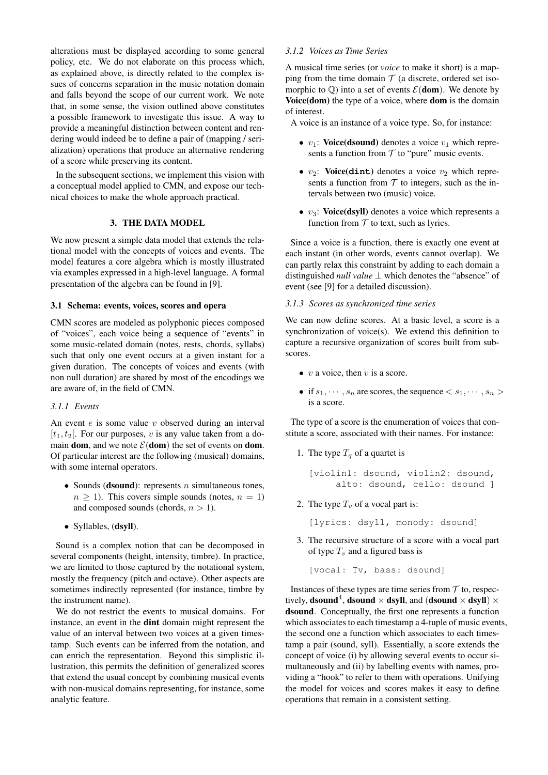alterations must be displayed according to some general policy, etc. We do not elaborate on this process which, as explained above, is directly related to the complex issues of concerns separation in the music notation domain and falls beyond the scope of our current work. We note that, in some sense, the vision outlined above constitutes a possible framework to investigate this issue. A way to provide a meaningful distinction between content and rendering would indeed be to define a pair of (mapping / serialization) operations that produce an alternative rendering of a score while preserving its content.

In the subsequent sections, we implement this vision with a conceptual model applied to CMN, and expose our technical choices to make the whole approach practical.

## 3. THE DATA MODEL

<span id="page-2-0"></span>We now present a simple data model that extends the relational model with the concepts of voices and events. The model features a core algebra which is mostly illustrated via examples expressed in a high-level language. A formal presentation of the algebra can be found in [\[9\]](#page-5-9).

## 3.1 Schema: events, voices, scores and opera

CMN scores are modeled as polyphonic pieces composed of "voices", each voice being a sequence of "events" in some music-related domain (notes, rests, chords, syllabs) such that only one event occurs at a given instant for a given duration. The concepts of voices and events (with non null duration) are shared by most of the encodings we are aware of, in the field of CMN.

## *3.1.1 Events*

An event  $e$  is some value  $v$  observed during an interval  $[t_1, t_2]$ . For our purposes, v is any value taken from a domain dom, and we note  $\mathcal{E}(\text{dom})$  the set of events on dom. Of particular interest are the following (musical) domains, with some internal operators.

- Sounds (dsound): represents  $n$  simultaneous tones,  $n \geq 1$ ). This covers simple sounds (notes,  $n = 1$ ) and composed sounds (chords,  $n > 1$ ).
- Syllables, (dsyll).

Sound is a complex notion that can be decomposed in several components (height, intensity, timbre). In practice, we are limited to those captured by the notational system, mostly the frequency (pitch and octave). Other aspects are sometimes indirectly represented (for instance, timbre by the instrument name).

We do not restrict the events to musical domains. For instance, an event in the dint domain might represent the value of an interval between two voices at a given timestamp. Such events can be inferred from the notation, and can enrich the representation. Beyond this simplistic illustration, this permits the definition of generalized scores that extend the usual concept by combining musical events with non-musical domains representing, for instance, some analytic feature.

## *3.1.2 Voices as Time Series*

A musical time series (or *voice* to make it short) is a mapping from the time domain  $T$  (a discrete, ordered set isomorphic to  $\mathbb Q$ ) into a set of events  $\mathcal E(\text{dom})$ . We denote by Voice(dom) the type of a voice, where dom is the domain of interest.

A voice is an instance of a voice type. So, for instance:

- $v_1$ : Voice(dsound) denotes a voice  $v_1$  which represents a function from  $T$  to "pure" music events.
- $v_2$ : **Voice(dint)** denotes a voice  $v_2$  which represents a function from  $T$  to integers, such as the intervals between two (music) voice.
- $v_3$ : Voice(dsyll) denotes a voice which represents a function from  $T$  to text, such as lyrics.

Since a voice is a function, there is exactly one event at each instant (in other words, events cannot overlap). We can partly relax this constraint by adding to each domain a distinguished *null value* ⊥ which denotes the "absence" of event (see [\[9\]](#page-5-9) for a detailed discussion).

#### *3.1.3 Scores as synchronized time series*

We can now define scores. At a basic level, a score is a synchronization of voice(s). We extend this definition to capture a recursive organization of scores built from subscores.

- v a voice, then v is a score.
- if  $s_1, \dots, s_n$  are scores, the sequence  $\langle s_1, \dots, s_n \rangle$ is a score.

The type of a score is the enumeration of voices that constitute a score, associated with their names. For instance:

1. The type  $T_q$  of a quartet is

```
[violin1: dsound, violin2: dsound,
    alto: dsound, cello: dsound ]
```
- 2. The type  $T_v$  of a vocal part is:
	- [lyrics: dsyll, monody: dsound]
- 3. The recursive structure of a score with a vocal part of type  $T_v$  and a figured bass is

[vocal: Tv, bass: dsound]

Instances of these types are time series from  $\mathcal T$  to, respectively, **dsound<sup>4</sup>**, **dsound**  $\times$  **dsyll**, and (**dsound**  $\times$  **dsyll**)  $\times$ dsound. Conceptually, the first one represents a function which associates to each timestamp a 4-tuple of music events, the second one a function which associates to each timestamp a pair (sound, syll). Essentially, a score extends the concept of voice (i) by allowing several events to occur simultaneously and (ii) by labelling events with names, providing a "hook" to refer to them with operations. Unifying the model for voices and scores makes it easy to define operations that remain in a consistent setting.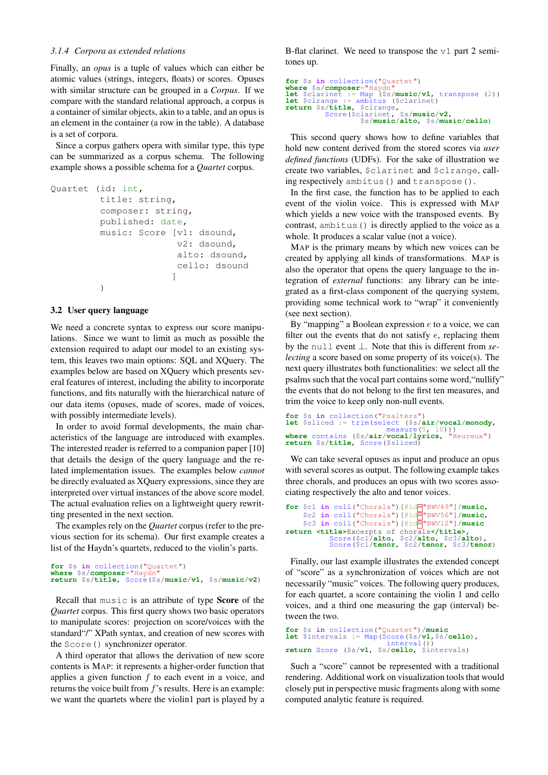#### *3.1.4 Corpora as extended relations*

Finally, an *opus* is a tuple of values which can either be atomic values (strings, integers, floats) or scores. Opuses with similar structure can be grouped in a *Corpus*. If we compare with the standard relational approach, a corpus is a container of similar objects, akin to a table, and an opus is an element in the container (a row in the table). A database is a set of corpora.

Since a corpus gathers opera with similar type, this type can be summarized as a corpus schema. The following example shows a possible schema for a *Quartet* corpus.

```
Quartet (id: int,
         title: string,
         composer: string,
         published: date,
         music: Score [v1: dsound,
                        v2: dsound,
                        alto: dsound,
                        cello: dsound
                       ]
         )
```
## 3.2 User query language

We need a concrete syntax to express our score manipulations. Since we want to limit as much as possible the extension required to adapt our model to an existing system, this leaves two main options: SQL and XQuery. The examples below are based on XQuery which presents several features of interest, including the ability to incorporate functions, and fits naturally with the hierarchical nature of our data items (opuses, made of scores, made of voices, with possibly intermediate levels).

In order to avoid formal developments, the main characteristics of the language are introduced with examples. The interested reader is referred to a companion paper [\[10\]](#page-5-10) that details the design of the query language and the related implementation issues. The examples below *cannot* be directly evaluated as XQuery expressions, since they are interpreted over virtual instances of the above score model. The actual evaluation relies on a lightweight query rewritting presented in the next section.

The examples rely on the *Quartet* corpus (refer to the previous section for its schema). Our first example creates a list of the Haydn's quartets, reduced to the violin's parts.

```
for $s in collection("Quartet")
where $s/composer="Haydn"
return $s/title, Score($s/music/v1, $s/music/v2)
```
Recall that music is an attribute of type Score of the *Quartet* corpus. This first query shows two basic operators to manipulate scores: projection on score/voices with the standard"/" XPath syntax, and creation of new scores with the Score() synchronizer operator.

A third operator that allows the derivation of new score contents is MAP: it represents a higher-order function that applies a given function  $f$  to each event in a voice, and returns the voice built from  $f$ 's results. Here is an example: we want the quartets where the violin1 part is played by a B-flat clarinet. We need to transpose the  $v1$  part 2 semitones up.

```
for $s in collection("Quartet")
where $s/composer="Haydn"
let $clarinet := Map ($s/music/v1, transpose (2))
let $clrange := ambitus ($clarinet)
let $cirange := amortus (volutions),<br>
return $s/title, $cirange,<br>
Score($clarinet, $s/music/v2,
                  Score($clarinet, $s/music/v2,
$s/music/alto, $s/music/cello)
```
This second query shows how to define variables that hold new content derived from the stored scores via *user defined functions* (UDFs). For the sake of illustration we create two variables, \$clarinet and \$clrange, calling respectively ambitus() and transpose().

In the first case, the function has to be applied to each event of the violin voice. This is expressed with MAP which yields a new voice with the transposed events. By contrast, ambitus() is directly applied to the voice as a whole. It produces a scalar value (not a voice).

MAP is the primary means by which new voices can be created by applying all kinds of transformations. MAP is also the operator that opens the query language to the integration of *external* functions: any library can be integrated as a first-class component of the querying system, providing some technical work to "wrap" it conveniently (see next section).

By "mapping" a Boolean expression  $e$  to a voice, we can filter out the events that do not satisfy  $e$ , replacing them by the null event ⊥. Note that this is different from *selecting* a score based on some property of its voice(s). The next query illustrates both functionalities: we select all the psalms such that the vocal part contains some word,"nullify" the events that do not belong to the first ten measures, and trim the voice to keep only non-null events.

```
for $s in collection("Psalters"
let $sliced := trim(select ($s/air/vocal/monody,
measure(5, 10)))
where contains ($s/air/vocal/lyrics, "Heureux")
return $s/title, Score($sliced)
```
We can take several opuses as input and produce an opus with several scores as output. The following example takes three chorals, and produces an opus with two scores associating respectively the alto and tenor voices.

```
for $c1 in coll("Chorals")[@id="BWV49"]/music,
     $c2 in coll("Chorals")[@id="BWV56"]/music,
     $c3 in coll("Chorals")[@id="BWV12"]/music
return <title>Excerpts of chorals</title>,
Score($c1/alto, $c2/alto, $c3/alto),
Score($c1/tenor, $c2/tenor, $c3/tenor)
```
Finally, our last example illustrates the extended concept of "score" as a synchronization of voices which are not necessarily "music" voices. The following query produces, for each quartet, a score containing the violin 1 and cello voices, and a third one measuring the gap (interval) between the two.

```
for $s in collection("Quartet")/music
let $intervals := Map(Score($s/v1,$s/cello),<br>interval())
return Score ($s/v1, $s/cello, $intervals)
```
Such a "score" cannot be represented with a traditional rendering. Additional work on visualization tools that would closely put in perspective music fragments along with some computed analytic feature is required.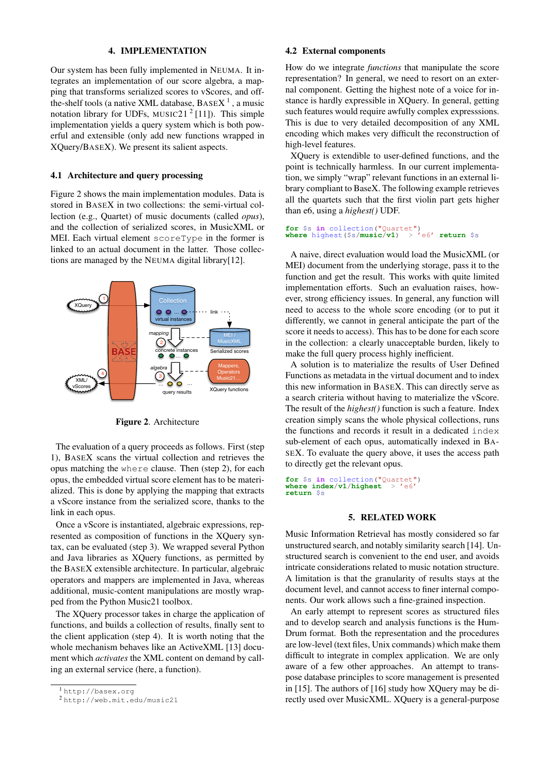#### 4. IMPLEMENTATION

<span id="page-4-0"></span>Our system has been fully implemented in NEUMA. It integrates an implementation of our score algebra, a mapping that transforms serialized scores to vScores, and offthe-shelf tools (a native XML database,  $BASEX<sup>1</sup>$  $BASEX<sup>1</sup>$  $BASEX<sup>1</sup>$ , a music notation library for UDFs, MUSIC[2](#page-4-3)1<sup>2</sup> [\[11\]](#page-6-0)). This simple implementation yields a query system which is both powerful and extensible (only add new functions wrapped in XQuery/BASEX). We present its salient aspects.

#### 4.1 Architecture and query processing

Figure [2](#page-4-4) shows the main implementation modules. Data is stored in BASEX in two collections: the semi-virtual collection (e.g., Quartet) of music documents (called *opus*), and the collection of serialized scores, in MusicXML or MEI. Each virtual element scoreType in the former is linked to an actual document in the latter. Those collections are managed by the NEUMA digital library[\[12\]](#page-6-1).

<span id="page-4-4"></span>

Figure 2. Architecture

The evaluation of a query proceeds as follows. First (step 1), BASEX scans the virtual collection and retrieves the opus matching the where clause. Then (step 2), for each opus, the embedded virtual score element has to be materialized. This is done by applying the mapping that extracts a vScore instance from the serialized score, thanks to the link in each opus.

Once a vScore is instantiated, algebraic expressions, represented as composition of functions in the XQuery syntax, can be evaluated (step 3). We wrapped several Python and Java libraries as XQuery functions, as permitted by the BASEX extensible architecture. In particular, algebraic operators and mappers are implemented in Java, whereas additional, music-content manipulations are mostly wrapped from the Python Music21 toolbox.

The XQuery processor takes in charge the application of functions, and builds a collection of results, finally sent to the client application (step 4). It is worth noting that the whole mechanism behaves like an ActiveXML [\[13\]](#page-6-2) document which *activates* the XML content on demand by calling an external service (here, a function).

#### 4.2 External components

How do we integrate *functions* that manipulate the score representation? In general, we need to resort on an external component. Getting the highest note of a voice for instance is hardly expressible in XQuery. In general, getting such features would require awfully complex expresssions. This is due to very detailed decomposition of any XML encoding which makes very difficult the reconstruction of high-level features.

XQuery is extendible to user-defined functions, and the point is technically harmless. In our current implementation, we simply "wrap" relevant functions in an external library compliant to BaseX. The following example retrieves all the quartets such that the first violin part gets higher than e6, using a *highest()* UDF.

```
for $s in collection("Quartet")
where highest($s/music/v1) > 'e6' return $s
```
A naive, direct evaluation would load the MusicXML (or MEI) document from the underlying storage, pass it to the function and get the result. This works with quite limited implementation efforts. Such an evaluation raises, however, strong efficiency issues. In general, any function will need to access to the whole score encoding (or to put it differently, we cannot in general anticipate the part of the score it needs to access). This has to be done for each score in the collection: a clearly unacceptable burden, likely to make the full query process highly inefficient.

A solution is to materialize the results of User Defined Functions as metadata in the virtual document and to index this new information in BASEX. This can directly serve as a search criteria without having to materialize the vScore. The result of the *highest()* function is such a feature. Index creation simply scans the whole physical collections, runs the functions and records it result in a dedicated index sub-element of each opus, automatically indexed in BA-SEX. To evaluate the query above, it uses the access path to directly get the relevant opus.

```
for $s in collection("Quartet")
where index/v1/hightsreturn $s
```
## 5. RELATED WORK

<span id="page-4-1"></span>Music Information Retrieval has mostly considered so far unstructured search, and notably similarity search [\[14\]](#page-6-3). Unstructured search is convenient to the end user, and avoids intricate considerations related to music notation structure. A limitation is that the granularity of results stays at the document level, and cannot access to finer internal components. Our work allows such a fine-grained inspection.

An early attempt to represent scores as structured files and to develop search and analysis functions is the Hum-Drum format. Both the representation and the procedures are low-level (text files, Unix commands) which make them difficult to integrate in complex application. We are only aware of a few other approaches. An attempt to transpose database principles to score management is presented in [\[15\]](#page-6-4). The authors of [\[16\]](#page-6-5) study how XQuery may be directly used over MusicXML. XQuery is a general-purpose

<span id="page-4-2"></span><sup>1</sup> <http://basex.org>

<span id="page-4-3"></span><sup>2</sup> <http://web.mit.edu/music21>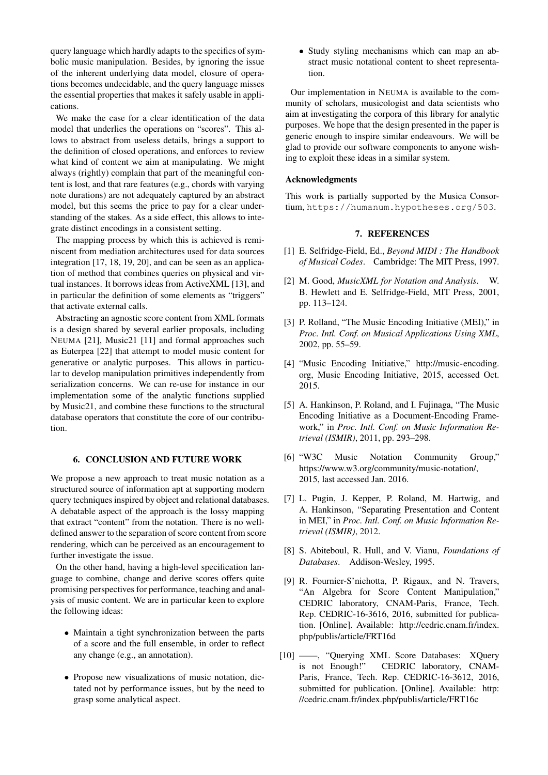query language which hardly adapts to the specifics of symbolic music manipulation. Besides, by ignoring the issue of the inherent underlying data model, closure of operations becomes undecidable, and the query language misses the essential properties that makes it safely usable in applications.

We make the case for a clear identification of the data model that underlies the operations on "scores". This allows to abstract from useless details, brings a support to the definition of closed operations, and enforces to review what kind of content we aim at manipulating. We might always (rightly) complain that part of the meaningful content is lost, and that rare features (e.g., chords with varying note durations) are not adequately captured by an abstract model, but this seems the price to pay for a clear understanding of the stakes. As a side effect, this allows to integrate distinct encodings in a consistent setting.

The mapping process by which this is achieved is reminiscent from mediation architectures used for data sources integration [\[17,](#page-6-6) [18,](#page-6-7) [19,](#page-6-8) [20\]](#page-6-9), and can be seen as an application of method that combines queries on physical and virtual instances. It borrows ideas from ActiveXML [\[13\]](#page-6-2), and in particular the definition of some elements as "triggers" that activate external calls.

Abstracting an agnostic score content from XML formats is a design shared by several earlier proposals, including NEUMA [\[21\]](#page-6-10), Music21 [\[11\]](#page-6-0) and formal approaches such as Euterpea [\[22\]](#page-6-11) that attempt to model music content for generative or analytic purposes. This allows in particular to develop manipulation primitives independently from serialization concerns. We can re-use for instance in our implementation some of the analytic functions supplied by Music21, and combine these functions to the structural database operators that constitute the core of our contribution.

## <span id="page-5-8"></span>6. CONCLUSION AND FUTURE WORK

We propose a new approach to treat music notation as a structured source of information apt at supporting modern query techniques inspired by object and relational databases. A debatable aspect of the approach is the lossy mapping that extract "content" from the notation. There is no welldefined answer to the separation of score content from score rendering, which can be perceived as an encouragement to further investigate the issue.

On the other hand, having a high-level specification language to combine, change and derive scores offers quite promising perspectives for performance, teaching and analysis of music content. We are in particular keen to explore the following ideas:

- Maintain a tight synchronization between the parts of a score and the full ensemble, in order to reflect any change (e.g., an annotation).
- Propose new visualizations of music notation, dictated not by performance issues, but by the need to grasp some analytical aspect.

• Study styling mechanisms which can map an abstract music notational content to sheet representation.

Our implementation in NEUMA is available to the community of scholars, musicologist and data scientists who aim at investigating the corpora of this library for analytic purposes. We hope that the design presented in the paper is generic enough to inspire similar endeavours. We will be glad to provide our software components to anyone wishing to exploit these ideas in a similar system.

## Acknowledgments

This work is partially supported by the Musica Consortium, <https://humanum.hypotheses.org/503>.

## 7. REFERENCES

- <span id="page-5-0"></span>[1] E. Selfridge-Field, Ed., *Beyond MIDI : The Handbook of Musical Codes*. Cambridge: The MIT Press, 1997.
- <span id="page-5-1"></span>[2] M. Good, *MusicXML for Notation and Analysis*. W. B. Hewlett and E. Selfridge-Field, MIT Press, 2001, pp. 113–124.
- <span id="page-5-2"></span>[3] P. Rolland, "The Music Encoding Initiative (MEI)," in *Proc. Intl. Conf. on Musical Applications Using XML*, 2002, pp. 55–59.
- <span id="page-5-3"></span>[4] "Music Encoding Initiative," [http://music-encoding.](http://music-encoding.org) [org,](http://music-encoding.org) Music Encoding Initiative, 2015, accessed Oct. 2015.
- <span id="page-5-4"></span>[5] A. Hankinson, P. Roland, and I. Fujinaga, "The Music Encoding Initiative as a Document-Encoding Framework," in *Proc. Intl. Conf. on Music Information Retrieval (ISMIR)*, 2011, pp. 293–298.
- <span id="page-5-5"></span>[6] "W3C Music Notation Community Group," https://www.w3.org/community/music-notation/, 2015, last accessed Jan. 2016.
- <span id="page-5-6"></span>[7] L. Pugin, J. Kepper, P. Roland, M. Hartwig, and A. Hankinson, "Separating Presentation and Content in MEI," in *Proc. Intl. Conf. on Music Information Retrieval (ISMIR)*, 2012.
- <span id="page-5-7"></span>[8] S. Abiteboul, R. Hull, and V. Vianu, *Foundations of Databases*. Addison-Wesley, 1995.
- <span id="page-5-9"></span>[9] R. Fournier-S'niehotta, P. Rigaux, and N. Travers, "An Algebra for Score Content Manipulation," CEDRIC laboratory, CNAM-Paris, France, Tech. Rep. CEDRIC-16-3616, 2016, submitted for publication. [Online]. Available: [http://cedric.cnam.fr/index.](http://cedric.cnam.fr/index.php/publis/article/FRT16d) [php/publis/article/FRT16d](http://cedric.cnam.fr/index.php/publis/article/FRT16d)
- <span id="page-5-10"></span>[10] ——, "Querying XML Score Databases: XQuery is not Enough!" CEDRIC laboratory, CNAM-Paris, France, Tech. Rep. CEDRIC-16-3612, 2016, submitted for publication. [Online]. Available: [http:](http://cedric.cnam.fr/index.php/publis/article/FRT16c) [//cedric.cnam.fr/index.php/publis/article/FRT16c](http://cedric.cnam.fr/index.php/publis/article/FRT16c)